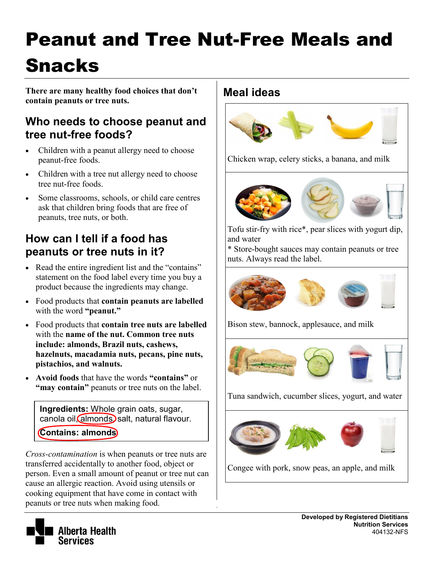# Peanut and Tree Nut-Free Meals and Snacks

**There are many healthy food choices that don't contain peanuts or tree nuts.** 

### **Who needs to choose peanut and tree nut-free foods?**

- Children with a peanut allergy need to choose peanut-free foods.
- Children with a tree nut allergy need to choose tree nut-free foods.
- Some classrooms, schools, or child care centres ask that children bring foods that are free of peanuts, tree nuts, or both.

# **How can I tell if a food has peanuts or tree nuts in it?**

- Read the entire ingredient list and the "contains" statement on the food label every time you buy a product because the ingredients may change.
- Food products that **contain peanuts are labelled**  with the word **"peanut."**
- Food products that **contain tree nuts are labelled**  with the **name of the nut. Common tree nuts include: almonds, Brazil nuts, cashews, hazelnuts, macadamia nuts, pecans, pine nuts, pistachios, and walnuts.**
- **Avoid foods** that have the words **"contains"** or **"may contain"** peanuts or tree nuts on the label.

**Ingredients:** Whole grain oats, sugar, canola oil, almonds, salt, natural flavour. **Contains: almonds**

*Cross-contamination* is when peanuts or tree nuts are transferred accidentally to another food, object or person. Even a small amount of peanut or tree nut can cause an allergic reaction. Avoid using utensils or cooking equipment that have come in contact with peanuts or tree nuts when making food.

#### **Meal ideas**



Chicken wrap, celery sticks, a banana, and milk



Tofu stir-fry with rice\*, pear slices with yogurt dip, and water

\* Store-bought sauces may contain peanuts or tree nuts. Always read the label.



Bison stew, bannock, applesauce, and milk



Tuna sandwich, cucumber slices, yogurt, and water



Congee with pork, snow peas, an apple, and milk